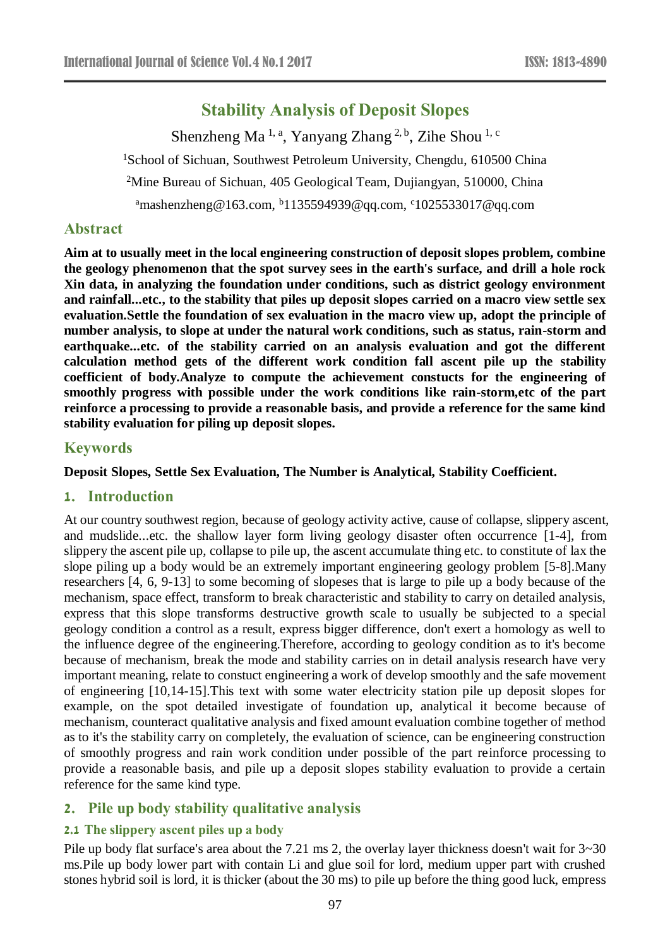# **Stability Analysis of Deposit Slopes**

Shenzheng Ma<sup>1, a</sup>, Yanyang Zhang<sup>2, b</sup>, Zihe Shou<sup>1, c</sup> <sup>1</sup>School of Sichuan, Southwest Petroleum University, Chengdu, 610500 China <sup>2</sup>Mine Bureau of Sichuan, 405 Geological Team, Dujiangyan, 510000, China <sup>a</sup>mashenzheng@163.com, <sup>b</sup>1135594939@qq.com, c1025533017@qq.com

#### **Abstract**

**Aim at to usually meet in the local engineering construction of deposit slopes problem, combine the geology phenomenon that the spot survey sees in the earth's surface, and drill a hole rock Xin data, in analyzing the foundation under conditions, such as district geology environment and rainfall...etc., to the stability that piles up deposit slopes carried on a macro view settle sex evaluation.Settle the foundation of sex evaluation in the macro view up, adopt the principle of number analysis, to slope at under the natural work conditions, such as status, rain-storm and earthquake...etc. of the stability carried on an analysis evaluation and got the different calculation method gets of the different work condition fall ascent pile up the stability coefficient of body.Analyze to compute the achievement constucts for the engineering of smoothly progress with possible under the work conditions like rain-storm,etc of the part reinforce a processing to provide a reasonable basis, and provide a reference for the same kind stability evaluation for piling up deposit slopes.**

#### **Keywords**

**Deposit Slopes, Settle Sex Evaluation, The Number is Analytical, Stability Coefficient.**

#### **1. Introduction**

At our country southwest region, because of geology activity active, cause of collapse, slippery ascent, and mudslide...etc. the shallow layer form living geology disaster often occurrence [1-4], from slippery the ascent pile up, collapse to pile up, the ascent accumulate thing etc. to constitute of lax the slope piling up a body would be an extremely important engineering geology problem [5-8].Many researchers [4, 6, 9-13] to some becoming of slopeses that is large to pile up a body because of the mechanism, space effect, transform to break characteristic and stability to carry on detailed analysis, express that this slope transforms destructive growth scale to usually be subjected to a special geology condition a control as a result, express bigger difference, don't exert a homology as well to the influence degree of the engineering.Therefore, according to geology condition as to it's become because of mechanism, break the mode and stability carries on in detail analysis research have very important meaning, relate to constuct engineering a work of develop smoothly and the safe movement of engineering [10,14-15].This text with some water electricity station pile up deposit slopes for example, on the spot detailed investigate of foundation up, analytical it become because of mechanism, counteract qualitative analysis and fixed amount evaluation combine together of method as to it's the stability carry on completely, the evaluation of science, can be engineering construction of smoothly progress and rain work condition under possible of the part reinforce processing to provide a reasonable basis, and pile up a deposit slopes stability evaluation to provide a certain reference for the same kind type.

# **2. Pile up body stability qualitative analysis**

#### **2.1 The slippery ascent piles up a body**

Pile up body flat surface's area about the 7.21 ms 2, the overlay layer thickness doesn't wait for 3~30 ms.Pile up body lower part with contain Li and glue soil for lord, medium upper part with crushed stones hybrid soil is lord, it is thicker (about the 30 ms) to pile up before the thing good luck, empress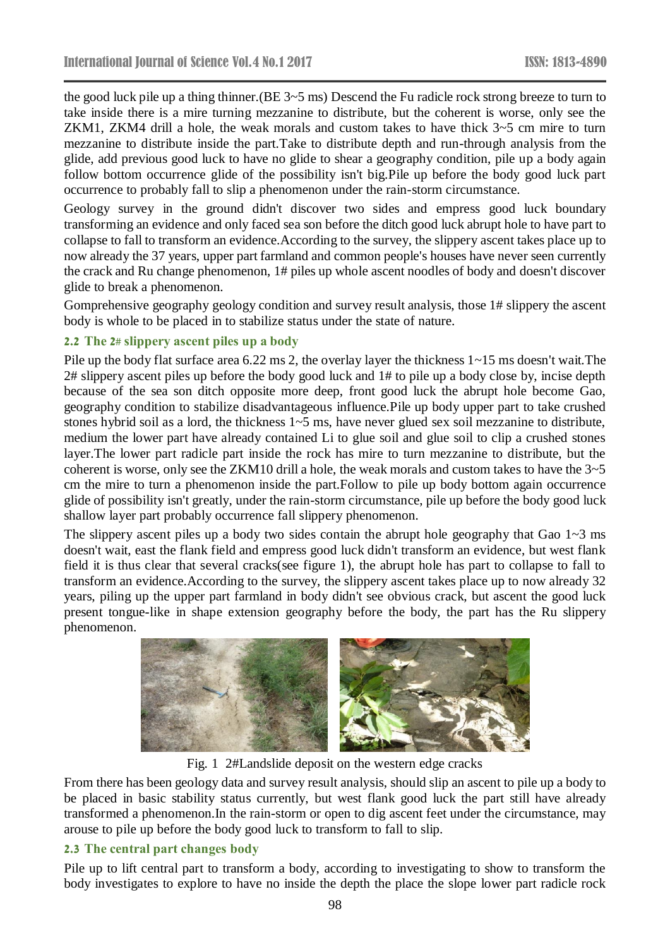the good luck pile up a thing thinner.(BE 3~5 ms) Descend the Fu radicle rock strong breeze to turn to take inside there is a mire turning mezzanine to distribute, but the coherent is worse, only see the ZKM1, ZKM4 drill a hole, the weak morals and custom takes to have thick 3~5 cm mire to turn mezzanine to distribute inside the part.Take to distribute depth and run-through analysis from the glide, add previous good luck to have no glide to shear a geography condition, pile up a body again follow bottom occurrence glide of the possibility isn't big.Pile up before the body good luck part occurrence to probably fall to slip a phenomenon under the rain-storm circumstance.

Geology survey in the ground didn't discover two sides and empress good luck boundary transforming an evidence and only faced sea son before the ditch good luck abrupt hole to have part to collapse to fall to transform an evidence.According to the survey, the slippery ascent takes place up to now already the 37 years, upper part farmland and common people's houses have never seen currently the crack and Ru change phenomenon, 1# piles up whole ascent noodles of body and doesn't discover glide to break a phenomenon.

Gomprehensive geography geology condition and survey result analysis, those 1# slippery the ascent body is whole to be placed in to stabilize status under the state of nature.

#### **2.2 The 2# slippery ascent piles up a body**

Pile up the body flat surface area 6.22 ms 2, the overlay layer the thickness  $1 \sim 15$  ms doesn't wait. The 2# slippery ascent piles up before the body good luck and 1# to pile up a body close by, incise depth because of the sea son ditch opposite more deep, front good luck the abrupt hole become Gao, geography condition to stabilize disadvantageous influence.Pile up body upper part to take crushed stones hybrid soil as a lord, the thickness 1~5 ms, have never glued sex soil mezzanine to distribute, medium the lower part have already contained Li to glue soil and glue soil to clip a crushed stones layer.The lower part radicle part inside the rock has mire to turn mezzanine to distribute, but the coherent is worse, only see the ZKM10 drill a hole, the weak morals and custom takes to have the  $3\n-5$ cm the mire to turn a phenomenon inside the part.Follow to pile up body bottom again occurrence glide of possibility isn't greatly, under the rain-storm circumstance, pile up before the body good luck shallow layer part probably occurrence fall slippery phenomenon.

The slippery ascent piles up a body two sides contain the abrupt hole geography that Gao  $1~3$  ms doesn't wait, east the flank field and empress good luck didn't transform an evidence, but west flank field it is thus clear that several cracks(see figure 1), the abrupt hole has part to collapse to fall to transform an evidence.According to the survey, the slippery ascent takes place up to now already 32 years, piling up the upper part farmland in body didn't see obvious crack, but ascent the good luck present tongue-like in shape extension geography before the body, the part has the Ru slippery phenomenon.



Fig. 1 2#Landslide deposit on the western edge cracks

From there has been geology data and survey result analysis, should slip an ascent to pile up a body to be placed in basic stability status currently, but west flank good luck the part still have already transformed a phenomenon.In the rain-storm or open to dig ascent feet under the circumstance, may arouse to pile up before the body good luck to transform to fall to slip.

#### **2.3 The central part changes body**

Pile up to lift central part to transform a body, according to investigating to show to transform the body investigates to explore to have no inside the depth the place the slope lower part radicle rock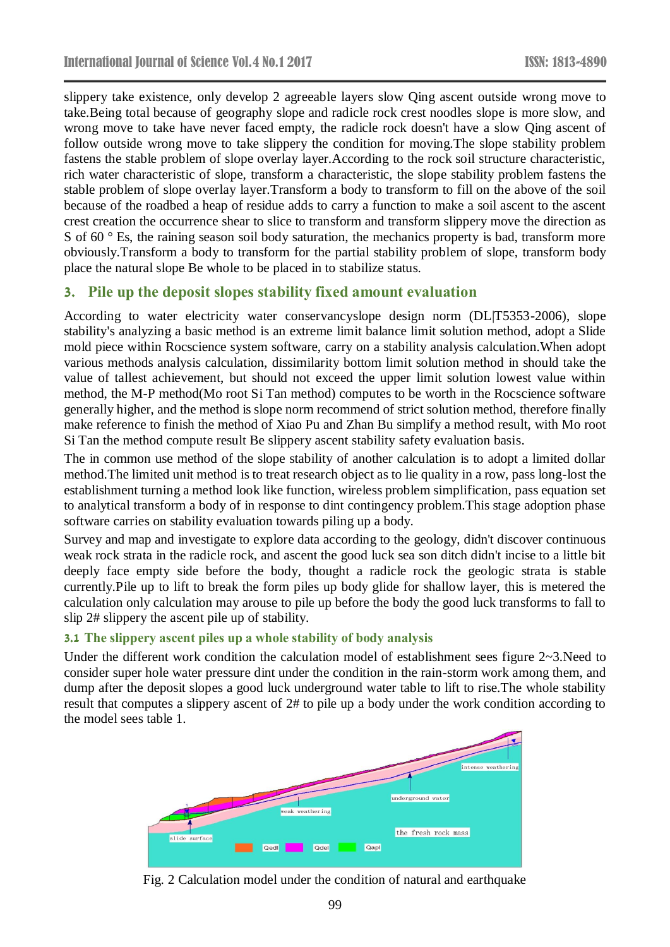slippery take existence, only develop 2 agreeable layers slow Qing ascent outside wrong move to take.Being total because of geography slope and radicle rock crest noodles slope is more slow, and wrong move to take have never faced empty, the radicle rock doesn't have a slow Qing ascent of follow outside wrong move to take slippery the condition for moving.The slope stability problem fastens the stable problem of slope overlay layer.According to the rock soil structure characteristic, rich water characteristic of slope, transform a characteristic, the slope stability problem fastens the stable problem of slope overlay layer.Transform a body to transform to fill on the above of the soil because of the roadbed a heap of residue adds to carry a function to make a soil ascent to the ascent crest creation the occurrence shear to slice to transform and transform slippery move the direction as S of 60 °Es, the raining season soil body saturation, the mechanics property is bad, transform more obviously.Transform a body to transform for the partial stability problem of slope, transform body place the natural slope Be whole to be placed in to stabilize status.

# **3. Pile up the deposit slopes stability fixed amount evaluation**

According to water electricity water conservancyslope design norm (DL|T5353-2006), slope stability's analyzing a basic method is an extreme limit balance limit solution method, adopt a Slide mold piece within Rocscience system software, carry on a stability analysis calculation.When adopt various methods analysis calculation, dissimilarity bottom limit solution method in should take the value of tallest achievement, but should not exceed the upper limit solution lowest value within method, the M-P method(Mo root Si Tan method) computes to be worth in the Rocscience software generally higher, and the method is slope norm recommend of strict solution method, therefore finally make reference to finish the method of Xiao Pu and Zhan Bu simplify a method result, with Mo root Si Tan the method compute result Be slippery ascent stability safety evaluation basis.

The in common use method of the slope stability of another calculation is to adopt a limited dollar method.The limited unit method is to treat research object as to lie quality in a row, pass long-lost the establishment turning a method look like function, wireless problem simplification, pass equation set to analytical transform a body of in response to dint contingency problem.This stage adoption phase software carries on stability evaluation towards piling up a body.

Survey and map and investigate to explore data according to the geology, didn't discover continuous weak rock strata in the radicle rock, and ascent the good luck sea son ditch didn't incise to a little bit deeply face empty side before the body, thought a radicle rock the geologic strata is stable currently.Pile up to lift to break the form piles up body glide for shallow layer, this is metered the calculation only calculation may arouse to pile up before the body the good luck transforms to fall to slip 2# slippery the ascent pile up of stability.

#### **3.1 The slippery ascent piles up a whole stability of body analysis**

Under the different work condition the calculation model of establishment sees figure 2~3.Need to consider super hole water pressure dint under the condition in the rain-storm work among them, and dump after the deposit slopes a good luck underground water table to lift to rise.The whole stability result that computes a slippery ascent of 2# to pile up a body under the work condition according to the model sees table 1.



Fig. 2 Calculation model under the condition of natural and earthquake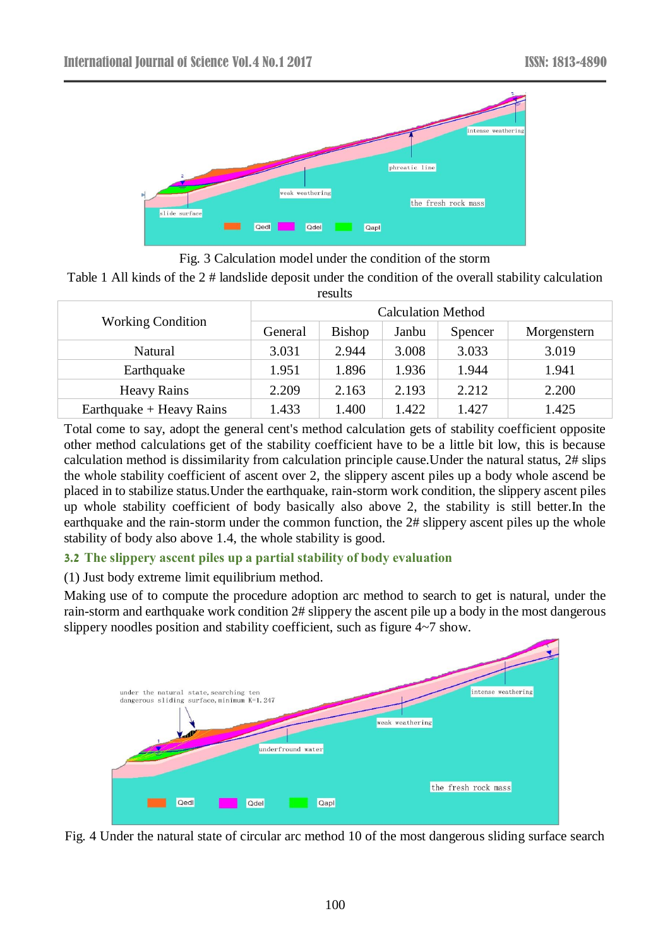

Fig. 3 Calculation model under the condition of the storm

Table 1 All kinds of the 2 # landslide deposit under the condition of the overall stability calculation results

| <b>Working Condition</b> | <b>Calculation Method</b> |               |       |         |             |  |  |  |
|--------------------------|---------------------------|---------------|-------|---------|-------------|--|--|--|
|                          | General                   | <b>Bishop</b> | Janbu | Spencer | Morgenstern |  |  |  |
| Natural                  | 3.031                     | 2.944         | 3.008 | 3.033   | 3.019       |  |  |  |
| Earthquake               | 1.951                     | 1.896         | 1.936 | 1.944   | 1.941       |  |  |  |
| <b>Heavy Rains</b>       | 2.209                     | 2.163         | 2.193 | 2.212   | 2.200       |  |  |  |
| Earthquake + Heavy Rains | 1.433                     | 1.400         | 1.422 | 1.427   | 1.425       |  |  |  |

Total come to say, adopt the general cent's method calculation gets of stability coefficient opposite other method calculations get of the stability coefficient have to be a little bit low, this is because calculation method is dissimilarity from calculation principle cause.Under the natural status, 2# slips the whole stability coefficient of ascent over 2, the slippery ascent piles up a body whole ascend be placed in to stabilize status.Under the earthquake, rain-storm work condition, the slippery ascent piles up whole stability coefficient of body basically also above 2, the stability is still better.In the earthquake and the rain-storm under the common function, the 2# slippery ascent piles up the whole stability of body also above 1.4, the whole stability is good.

# **3.2 The slippery ascent piles up a partial stability of body evaluation**

# (1) Just body extreme limit equilibrium method.

Making use of to compute the procedure adoption arc method to search to get is natural, under the rain-storm and earthquake work condition 2# slippery the ascent pile up a body in the most dangerous slippery noodles position and stability coefficient, such as figure 4~7 show.



Fig. 4 Under the natural state of circular arc method 10 of the most dangerous sliding surface search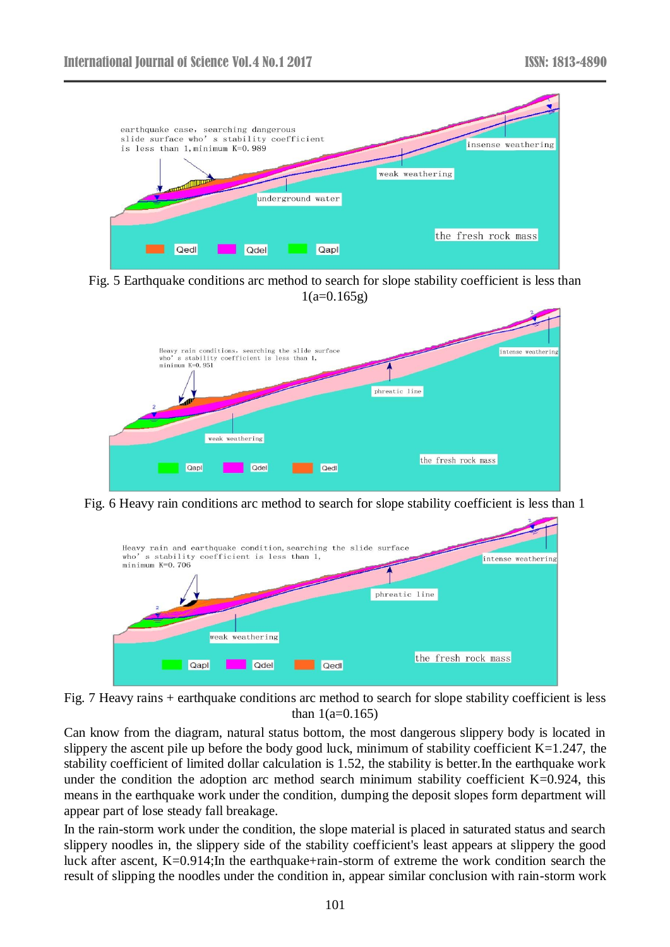

Fig. 5 Earthquake conditions arc method to search for slope stability coefficient is less than  $1(a=0.165g)$ 



Fig. 6 Heavy rain conditions arc method to search for slope stability coefficient is less than 1



Fig. 7 Heavy rains + earthquake conditions arc method to search for slope stability coefficient is less than  $1(a=0.165)$ 

Can know from the diagram, natural status bottom, the most dangerous slippery body is located in slippery the ascent pile up before the body good luck, minimum of stability coefficient  $K=1.247$ , the stability coefficient of limited dollar calculation is 1.52, the stability is better.In the earthquake work under the condition the adoption arc method search minimum stability coefficient K=0.924, this means in the earthquake work under the condition, dumping the deposit slopes form department will appear part of lose steady fall breakage.

In the rain-storm work under the condition, the slope material is placed in saturated status and search slippery noodles in, the slippery side of the stability coefficient's least appears at slippery the good luck after ascent, K=0.914;In the earthquake+rain-storm of extreme the work condition search the result of slipping the noodles under the condition in, appear similar conclusion with rain-storm work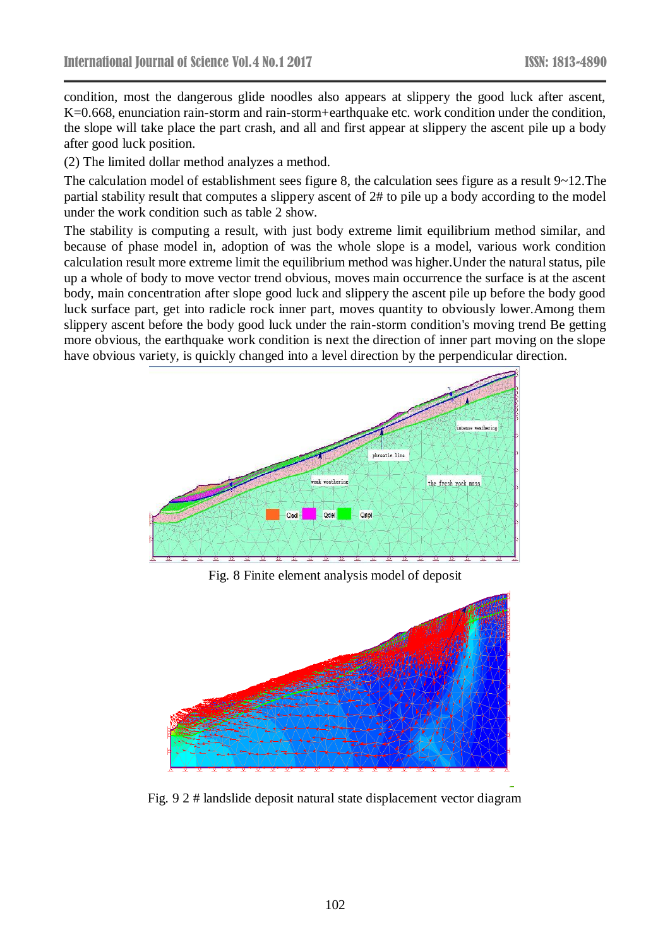condition, most the dangerous glide noodles also appears at slippery the good luck after ascent, K=0.668, enunciation rain-storm and rain-storm+earthquake etc. work condition under the condition, the slope will take place the part crash, and all and first appear at slippery the ascent pile up a body after good luck position.

(2) The limited dollar method analyzes a method.

The calculation model of establishment sees figure 8, the calculation sees figure as a result 9~12.The partial stability result that computes a slippery ascent of 2# to pile up a body according to the model under the work condition such as table 2 show.

The stability is computing a result, with just body extreme limit equilibrium method similar, and because of phase model in, adoption of was the whole slope is a model, various work condition calculation result more extreme limit the equilibrium method was higher.Under the natural status, pile up a whole of body to move vector trend obvious, moves main occurrence the surface is at the ascent body, main concentration after slope good luck and slippery the ascent pile up before the body good luck surface part, get into radicle rock inner part, moves quantity to obviously lower.Among them slippery ascent before the body good luck under the rain-storm condition's moving trend Be getting more obvious, the earthquake work condition is next the direction of inner part moving on the slope have obvious variety, is quickly changed into a level direction by the perpendicular direction.



Fig. 8 Finite element analysis model of deposit



Fig. 9 2 # landslide deposit natural state displacement vector diagram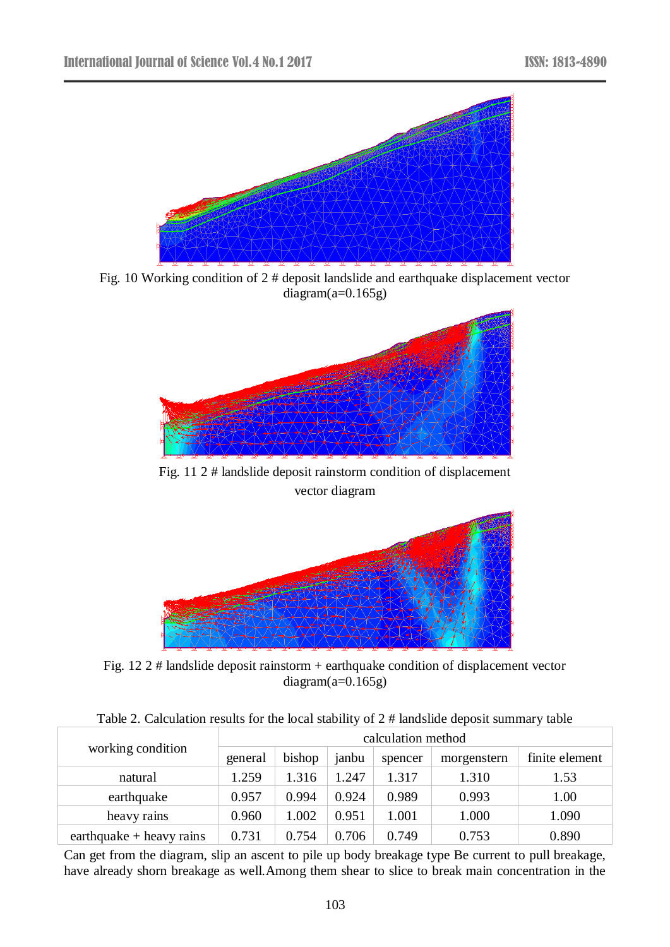

Fig. 10 Working condition of 2 # deposit landslide and earthquake displacement vector  $diagram(a=0.165g)$ 



Fig. 11 2 # landslide deposit rainstorm condition of displacement vector diagram



Fig. 12 2 # landslide deposit rainstorm + earthquake condition of displacement vector  $diagram(a=0.165g)$ 

| Table 2. Calculation results for the local stability of 2 # landslide deposit summary table |  |  |  |  |
|---------------------------------------------------------------------------------------------|--|--|--|--|
|---------------------------------------------------------------------------------------------|--|--|--|--|

| working condition          | calculation method |        |       |         |             |                |  |
|----------------------------|--------------------|--------|-------|---------|-------------|----------------|--|
|                            | general            | bishop | janbu | spencer | morgenstern | finite element |  |
| natural                    | 1.259              | 1.316  | 1.247 | 1.317   | 1.310       | 1.53           |  |
| earthquake                 | 0.957              | 0.994  | 0.924 | 0.989   | 0.993       | 1.00           |  |
| heavy rains                | 0.960              | 1.002  | 0.951 | 1.001   | 1.000       | 1.090          |  |
| earthquake $+$ heavy rains | 0.731              | 0.754  | 0.706 | 0.749   | 0.753       | 0.890          |  |

Can get from the diagram, slip an ascent to pile up body breakage type Be current to pull breakage, have already shorn breakage as well. Among them shear to slice to break main concentration in the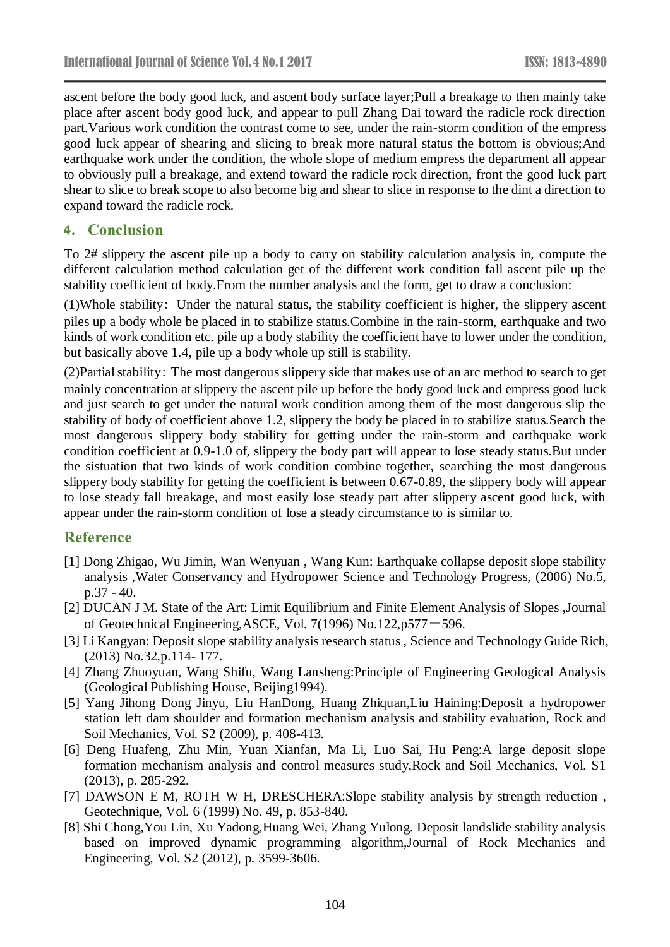ascent before the body good luck, and ascent body surface layer;Pull a breakage to then mainly take place after ascent body good luck, and appear to pull Zhang Dai toward the radicle rock direction part.Various work condition the contrast come to see, under the rain-storm condition of the empress good luck appear of shearing and slicing to break more natural status the bottom is obvious;And earthquake work under the condition, the whole slope of medium empress the department all appear to obviously pull a breakage, and extend toward the radicle rock direction, front the good luck part shear to slice to break scope to also become big and shear to slice in response to the dint a direction to expand toward the radicle rock.

### **4. Conclusion**

To 2# slippery the ascent pile up a body to carry on stability calculation analysis in, compute the different calculation method calculation get of the different work condition fall ascent pile up the stability coefficient of body.From the number analysis and the form, get to draw a conclusion:

(1)Whole stability: Under the natural status, the stability coefficient is higher, the slippery ascent piles up a body whole be placed in to stabilize status.Combine in the rain-storm, earthquake and two kinds of work condition etc. pile up a body stability the coefficient have to lower under the condition, but basically above 1.4, pile up a body whole up still is stability.

(2)Partial stability: The most dangerous slippery side that makes use of an arc method to search to get mainly concentration at slippery the ascent pile up before the body good luck and empress good luck and just search to get under the natural work condition among them of the most dangerous slip the stability of body of coefficient above 1.2, slippery the body be placed in to stabilize status.Search the most dangerous slippery body stability for getting under the rain-storm and earthquake work condition coefficient at 0.9-1.0 of, slippery the body part will appear to lose steady status.But under the sistuation that two kinds of work condition combine together, searching the most dangerous slippery body stability for getting the coefficient is between 0.67-0.89, the slippery body will appear to lose steady fall breakage, and most easily lose steady part after slippery ascent good luck, with appear under the rain-storm condition of lose a steady circumstance to is similar to.

# **Reference**

- [1] Dong Zhigao, Wu Jimin, Wan Wenyuan , Wang Kun: Earthquake collapse deposit slope stability analysis ,Water Conservancy and Hydropower Science and Technology Progress, (2006) No.5, p.37 - 40.
- [2] DUCAN J M. State of the Art: Limit Equilibrium and Finite Element Analysis of Slopes ,Journal of Geotechnical Engineering,ASCE, Vol. 7(1996) No.122,p577-596.
- [3] Li Kangyan: Deposit slope stability analysis research status , Science and Technology Guide Rich, (2013) No.32,p.114- 177.
- [4] Zhang Zhuoyuan, Wang Shifu, Wang Lansheng:Principle of Engineering Geological Analysis (Geological Publishing House, Beijing1994).
- [5] Yang Jihong Dong Jinyu, Liu HanDong, Huang Zhiquan,Liu Haining:Deposit a hydropower station left dam shoulder and formation mechanism analysis and stability evaluation, Rock and Soil Mechanics, Vol. S2 (2009), p. 408-413.
- [6] Deng Huafeng, Zhu Min, Yuan Xianfan, Ma Li, Luo Sai, Hu Peng:A large deposit slope formation mechanism analysis and control measures study,Rock and Soil Mechanics, Vol. S1 (2013), p. 285-292.
- [7] DAWSON E M, ROTH W H, DRESCHERA:Slope stability analysis by strength reduction , Geotechnique, Vol. 6 (1999) No. 49, p. 853-840.
- [8] Shi Chong,You Lin, Xu Yadong,Huang Wei, Zhang Yulong. Deposit landslide stability analysis based on improved dynamic programming algorithm,Journal of Rock Mechanics and Engineering, Vol. S2 (2012), p. 3599-3606.